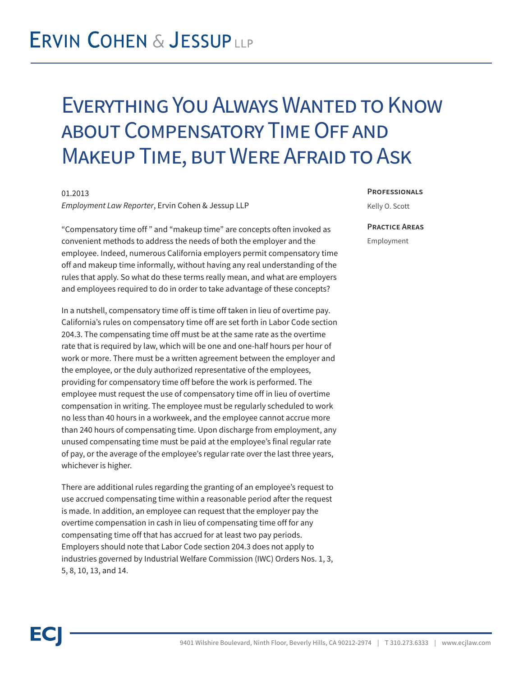## **ERVIN COHEN & JESSUPLLP**

### Everything You Always Wanted to Know about Compensatory Time Off and Makeup Time, but Were Afraid to Ask

#### 01.2013

*Employment Law Reporter*, Ervin Cohen & Jessup LLP

"Compensatory time off " and "makeup time" are concepts often invoked as convenient methods to address the needs of both the employer and the employee. Indeed, numerous California employers permit compensatory time off and makeup time informally, without having any real understanding of the rules that apply. So what do these terms really mean, and what are employers and employees required to do in order to take advantage of these concepts?

In a nutshell, compensatory time off is time off taken in lieu of overtime pay. California's rules on compensatory time off are set forth in Labor Code section 204.3. The compensating time off must be at the same rate as the overtime rate that is required by law, which will be one and one-half hours per hour of work or more. There must be a written agreement between the employer and the employee, or the duly authorized representative of the employees, providing for compensatory time off before the work is performed. The employee must request the use of compensatory time off in lieu of overtime compensation in writing. The employee must be regularly scheduled to work no less than 40 hours in a workweek, and the employee cannot accrue more than 240 hours of compensating time. Upon discharge from employment, any unused compensating time must be paid at the employee's final regular rate of pay, or the average of the employee's regular rate over the last three years, whichever is higher.

There are additional rules regarding the granting of an employee's request to use accrued compensating time within a reasonable period after the request is made. In addition, an employee can request that the employer pay the overtime compensation in cash in lieu of compensating time off for any compensating time off that has accrued for at least two pay periods. Employers should note that Labor Code section 204.3 does not apply to industries governed by Industrial Welfare Commission (IWC) Orders Nos. 1, 3, 5, 8, 10, 13, and 14.

#### **Professionals**

Kelly O. Scott

### **Practice Areas** Employment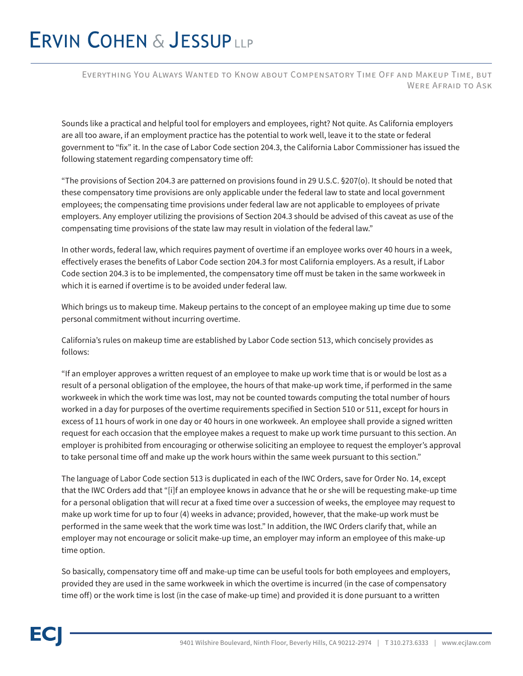# **ERVIN COHEN & JESSUPLLP**

Everything You Always Wanted to Know about Compensatory Time Off and Makeup Time, but WERE AFRAID TO ASK

Sounds like a practical and helpful tool for employers and employees, right? Not quite. As California employers are all too aware, if an employment practice has the potential to work well, leave it to the state or federal government to "fix" it. In the case of Labor Code section 204.3, the California Labor Commissioner has issued the following statement regarding compensatory time off:

"The provisions of Section 204.3 are patterned on provisions found in 29 U.S.C. §207(o). It should be noted that these compensatory time provisions are only applicable under the federal law to state and local government employees; the compensating time provisions under federal law are not applicable to employees of private employers. Any employer utilizing the provisions of Section 204.3 should be advised of this caveat as use of the compensating time provisions of the state law may result in violation of the federal law."

In other words, federal law, which requires payment of overtime if an employee works over 40 hours in a week, effectively erases the benefits of Labor Code section 204.3 for most California employers. As a result, if Labor Code section 204.3 is to be implemented, the compensatory time off must be taken in the same workweek in which it is earned if overtime is to be avoided under federal law.

Which brings us to makeup time. Makeup pertains to the concept of an employee making up time due to some personal commitment without incurring overtime.

California's rules on makeup time are established by Labor Code section 513, which concisely provides as follows:

"If an employer approves a written request of an employee to make up work time that is or would be lost as a result of a personal obligation of the employee, the hours of that make-up work time, if performed in the same workweek in which the work time was lost, may not be counted towards computing the total number of hours worked in a day for purposes of the overtime requirements specified in Section 510 or 511, except for hours in excess of 11 hours of work in one day or 40 hours in one workweek. An employee shall provide a signed written request for each occasion that the employee makes a request to make up work time pursuant to this section. An employer is prohibited from encouraging or otherwise soliciting an employee to request the employer's approval to take personal time off and make up the work hours within the same week pursuant to this section."

The language of Labor Code section 513 is duplicated in each of the IWC Orders, save for Order No. 14, except that the IWC Orders add that "[i]f an employee knows in advance that he or she will be requesting make-up time for a personal obligation that will recur at a fixed time over a succession of weeks, the employee may request to make up work time for up to four (4) weeks in advance; provided, however, that the make-up work must be performed in the same week that the work time was lost." In addition, the IWC Orders clarify that, while an employer may not encourage or solicit make-up time, an employer may inform an employee of this make-up time option.

So basically, compensatory time off and make-up time can be useful tools for both employees and employers, provided they are used in the same workweek in which the overtime is incurred (in the case of compensatory time off) or the work time is lost (in the case of make-up time) and provided it is done pursuant to a written